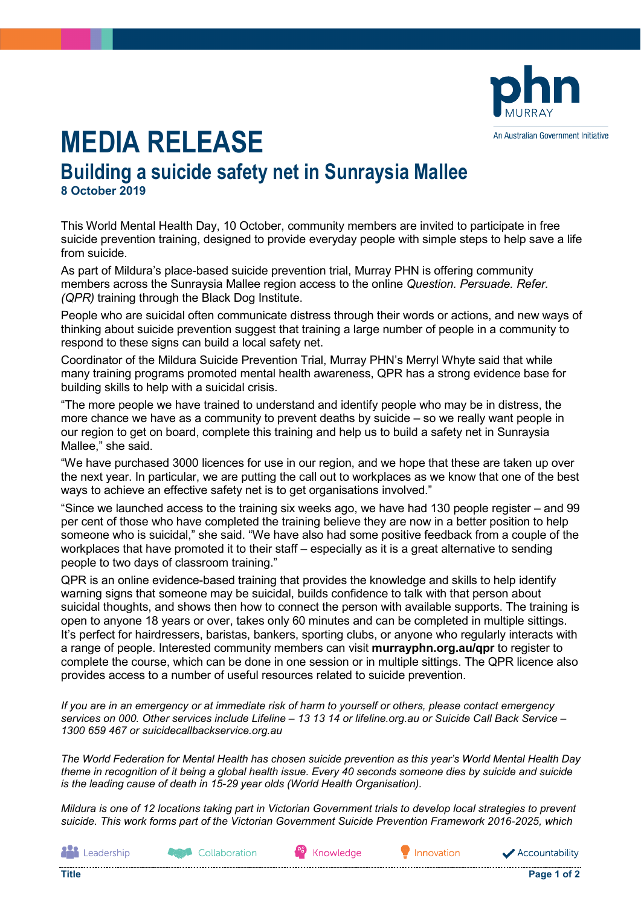

## **MEDIA RELEASE**

## **Building a suicide safety net in Sunraysia Mallee 8 October 2019**

This World Mental Health Day, 10 October, community members are invited to participate in free suicide prevention training, designed to provide everyday people with simple steps to help save a life from suicide.

As part of Mildura's place-based suicide prevention trial, Murray PHN is offering community members across the Sunraysia Mallee region access to the online *Question. Persuade. Refer. (QPR)* training through the Black Dog Institute.

People who are suicidal often communicate distress through their words or actions, and new ways of thinking about suicide prevention suggest that training a large number of people in a community to respond to these signs can build a local safety net.

Coordinator of the Mildura Suicide Prevention Trial, Murray PHN's Merryl Whyte said that while many training programs promoted mental health awareness, QPR has a strong evidence base for building skills to help with a suicidal crisis.

"The more people we have trained to understand and identify people who may be in distress, the more chance we have as a community to prevent deaths by suicide – so we really want people in our region to get on board, complete this training and help us to build a safety net in Sunraysia Mallee," she said.

"We have purchased 3000 licences for use in our region, and we hope that these are taken up over the next year. In particular, we are putting the call out to workplaces as we know that one of the best ways to achieve an effective safety net is to get organisations involved."

"Since we launched access to the training six weeks ago, we have had 130 people register – and 99 per cent of those who have completed the training believe they are now in a better position to help someone who is suicidal," she said. "We have also had some positive feedback from a couple of the workplaces that have promoted it to their staff – especially as it is a great alternative to sending people to two days of classroom training."

QPR is an online evidence-based training that provides the knowledge and skills to help identify warning signs that someone may be suicidal, builds confidence to talk with that person about suicidal thoughts, and shows then how to connect the person with available supports. The training is open to anyone 18 years or over, takes only 60 minutes and can be completed in multiple sittings. It's perfect for hairdressers, baristas, bankers, sporting clubs, or anyone who regularly interacts with a range of people. Interested community members can visit **murrayphn.org.au/qpr** to register to complete the course, which can be done in one session or in multiple sittings. The QPR licence also provides access to a number of useful resources related to suicide prevention.

*If you are in an emergency or at immediate risk of harm to yourself or others, please contact emergency services on 000. Other services include Lifeline – 13 13 14 or lifeline.org.au or Suicide Call Back Service – 1300 659 467 or suicidecallbackservice.org.au* 

*The World Federation for Mental Health has chosen suicide prevention as this year's World Mental Health Day theme in recognition of it being a global health issue. Every 40 seconds someone dies by suicide and suicide is the leading cause of death in 15-29 year olds (World Health Organisation).*

*Mildura is one of 12 locations taking part in Victorian Government trials to develop local strategies to prevent suicide. This work forms part of the Victorian Government Suicide Prevention Framework 2016-2025, which*

**ALL** Leadership

**Agent** Collaboration

Knowledge

Innovation

Accountability